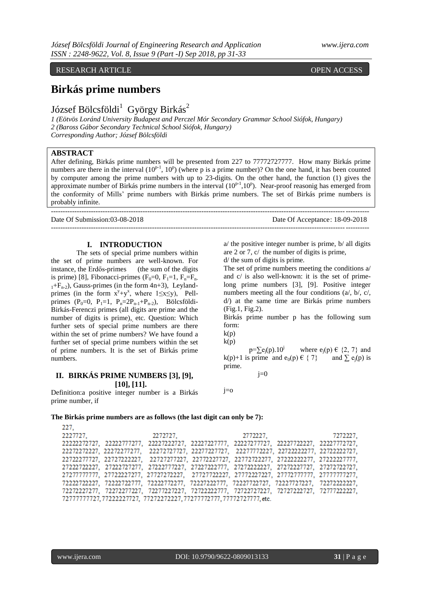## RESEARCH ARTICLE **CONSERVERS** OPEN ACCESS

# **Birkás prime numbers**

József Bölcsföldi<sup>1</sup> György Birkás<sup>2</sup>

*1 (Eötvös Loránd University Budapest and Perczel Mór Secondary Grammar School Siófok, Hungary) 2 (Baross Gábor Secondary Technical School Siófok, Hungary) Corresponding Author; József Bölcsföldi*

## **ABSTRACT**

After defining, Birkás prime numbers will be presented from 227 to 77772727777. How many Birkás prime numbers are there in the interval  $(10^{p-1}, 10^p)$  (where p is a prime number)? On the one hand, it has been counted by computer among the prime numbers with up to 23-digits. On the other hand, the function (1) gives the approximate number of Birkás prime numbers in the interval (10<sup>p-1</sup>,10<sup>p</sup>). Near-proof reasonig has emerged from the conformity of Mills' prime numbers with Birkás prime numbers. The set of Birkás prime numbers is probably infinite.

---------------------------------------------------------------------------------------------------------------------------------------

Date Of Submission:03-08-2018 Date Of Acceptance: 18-09-2018

#### **I. INTRODUCTION**

The sets of special prime numbers within the set of prime numbers are well-known. For instance, the Erdős-primes (the sum of the digits) is prime) [8], Fibonacci-primes  $(F_0=0, F_1=1, F_n=F_n$ .  $1+F_{n-2}$ ), Gauss-primes (in the form 4n+3), Leylandprimes (in the form  $x^y+y^x$ , where  $1 \le x \le y$ ), Pellprimes (P<sub>0</sub>=0, P<sub>1</sub>=1, P<sub>n</sub>=2P<sub>n-1</sub>+P<sub>n-2</sub>), Bölcsföldi-Birkás-Ferenczi primes (all digits are prime and the number of digits is prime), etc. Question: Which further sets of special prime numbers are there within the set of prime numbers? We have found a further set of special prime numbers within the set of prime numbers. It is the set of Birkás prime numbers.

# **II. BIRKÁS PRIME NUMBERS [3], [9], [10], [11].**

Definition:a positive integer number is a Birkás prime number, if

 $a$  the positive integer number is prime,  $b$  all digits are 2 or 7, c/ the number of digits is prime,

---------------------------------------------------------------------------------------------------------------------------------------

d/ the sum of digits is prime.

The set of prime numbers meeting the conditions a/ and c/ is also well-known: it is the set of primelong prime numbers [3], [9]. Positive integer numbers meeting all the four conditions (a/, b/, c/, d/) at the same time are Birkás prime numbers (Fig.1, Fig.2).

Birkás prime number p has the following sum form:

 $k(p)$  $k(p)$ 

 $p=\sum e_i(p).10^j$  where  $e_i(p) \in \{2, 7\}$  and k(p)+1 is prime and e<sub>0</sub>(p)  $\in \{ 7 \}$  and  $\sum e_i(p)$  is prime.

 $j=0$ 

j=o

#### **The Birkás prime numbers are as follows (the last digit can only be 7):**

227, 2227727. 2772227. 7272227, 2272727, 22222272727, 22222777277, 2222722727, 22227227777, 22227277727, 22227772227, 22227772727, 22722277727, 2272722227, 22727277227, 22772227727, 22772722277, 27222222277, 27222227777, 27222722227, 27222727277, 27222777227, 27227222777, 27272222227, 27272227727, 27272722727, 72272227277, 72272277227, 72277227227, 72722222777, 72722727227, 72727222727, 72777222227,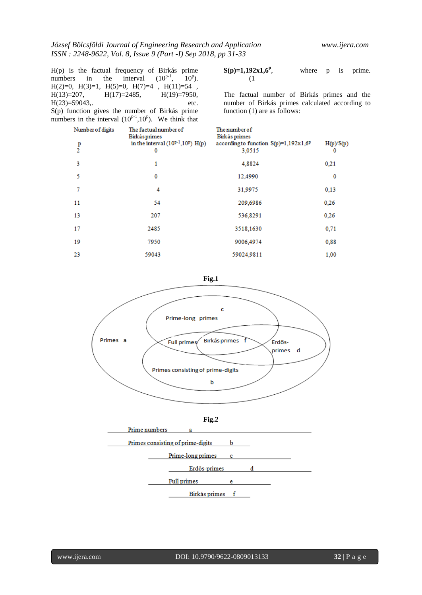|                | $H(p)$ is the factual frequency of Birkás prime          |      |
|----------------|----------------------------------------------------------|------|
|                | numbers in the interval $(10^{p-1}, 10^p)$ .             |      |
|                | $H(2)=0$ , $H(3)=1$ , $H(5)=0$ , $H(7)=4$ , $H(11)=54$ , |      |
|                | $H(13)=207$ , $H(17)=2485$ , $H(19)=7950$ ,              |      |
| $H(23)=59043,$ |                                                          | etc. |
|                | S(p) function gives the number of Birkás prime           |      |

numbers in the interval  $(10^{p-1}, 10^p)$ . We think that

**S(p)=1,192x1,6<sup>p</sup>** where p is prime. (1

The factual number of Birkás primes and the number of Birkás primes calculated according to function (1) are as follows:

| Number of digits | The factual number of<br><b>Birkás primes</b> | The number of<br>Birkás primes                  |                |
|------------------|-----------------------------------------------|-------------------------------------------------|----------------|
| $\frac{p}{2}$    | in the interval $(10^{p-1}, 10^p)$ H(p)<br>0  | according to function S(p)=1,192x1,6P<br>3,0515 | H(p)/S(p)<br>0 |
| 3                | 1                                             | 4,8824                                          | 0,21           |
| 5                | 0                                             | 12,4990                                         | 0              |
| 7                | 4                                             | 31,9975                                         | 0,13           |
| 11               | 54                                            | 209,6986                                        | 0,26           |
| 13               | 207                                           | 536,8291                                        | 0,26           |
| 17               | 2485                                          | 3518,1630                                       | 0,71           |
| 19               | 7950                                          | 9006,4974                                       | 0,88           |
| 23               | 59043                                         | 59024,9811                                      | 1,00           |

**Fig.1**